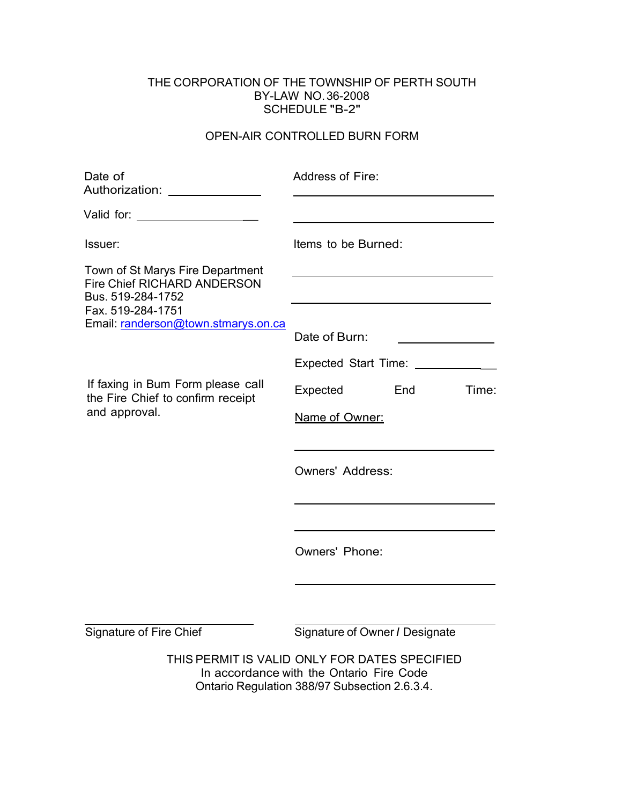## THE CORPORATION OF THE TOWNSHIP OF PERTH SOUTH BY-LAW NO.36-2008 SCHEDULE "B-2"

## OPEN-AIR CONTROLLED BURN FORM

| Date of<br>Authorization: Authorization                                                                                                                 | Address of Fire:                                                                                                                           |  |
|---------------------------------------------------------------------------------------------------------------------------------------------------------|--------------------------------------------------------------------------------------------------------------------------------------------|--|
| Valid for: ____________________                                                                                                                         |                                                                                                                                            |  |
| Issuer:                                                                                                                                                 | Items to be Burned:                                                                                                                        |  |
| Town of St Marys Fire Department<br><b>Fire Chief RICHARD ANDERSON</b><br>Bus. 519-284-1752<br>Fax. 519-284-1751<br>Email: randerson@town.stmarys.on.ca |                                                                                                                                            |  |
|                                                                                                                                                         | Date of Burn:                                                                                                                              |  |
|                                                                                                                                                         | Expected Start Time: ___________                                                                                                           |  |
| If faxing in Bum Form please call<br>the Fire Chief to confirm receipt<br>and approval.                                                                 | Expected<br>End<br>Time:                                                                                                                   |  |
|                                                                                                                                                         | Name of Owner:                                                                                                                             |  |
|                                                                                                                                                         | <b>Owners' Address:</b>                                                                                                                    |  |
|                                                                                                                                                         | <b>Owners' Phone:</b>                                                                                                                      |  |
| Signature of Fire Chief                                                                                                                                 | Signature of Owner / Designate                                                                                                             |  |
|                                                                                                                                                         | THIS PERMIT IS VALID ONLY FOR DATES SPECIFIED<br>In accordance with the Ontario Fire Code<br>Ontario Regulation 388/97 Subsection 2.6.3.4. |  |